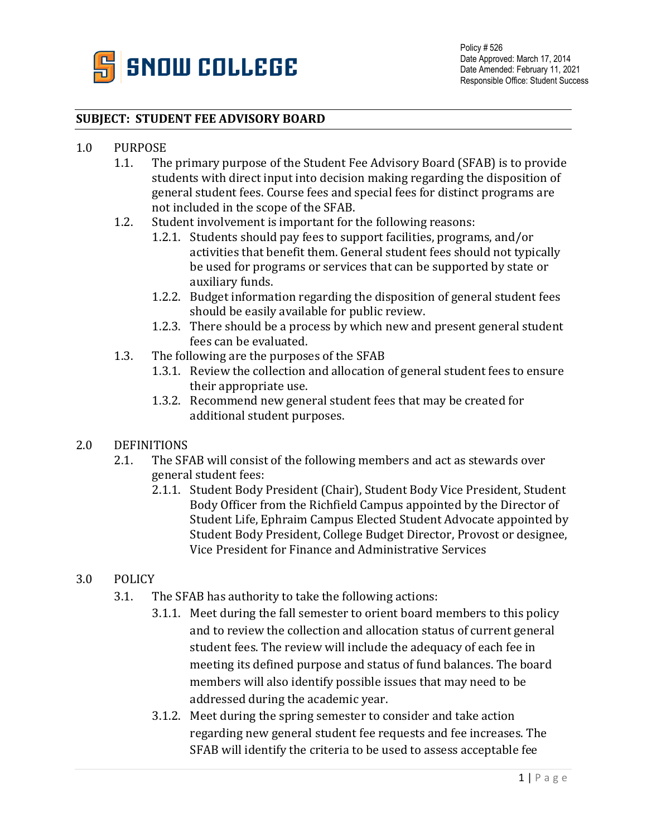

## **SUBJECT: STUDENT FEE ADVISORY BOARD**

## 1.0 PURPOSE<br>1.1. The

- The primary purpose of the Student Fee Advisory Board (SFAB) is to provide students with direct input into decision making regarding the disposition of general student fees. Course fees and special fees for distinct programs are not included in the scope of the SFAB.
- 1.2. Student involvement is important for the following reasons:
	- 1.2.1. Students should pay fees to support facilities, programs, and/or activities that benefit them. General student fees should not typically be used for programs or services that can be supported by state or auxiliary funds.
	- 1.2.2. Budget information regarding the disposition of general student fees should be easily available for public review.
	- 1.2.3. There should be a process by which new and present general student fees can be evaluated.
- 1.3. The following are the purposes of the SFAB
	- 1.3.1. Review the collection and allocation of general student fees to ensure their appropriate use.
	- 1.3.2. Recommend new general student fees that may be created for additional student purposes.
- 2.0 DEFINITIONS<br>2.1. The SF.
	- The SFAB will consist of the following members and act as stewards over general student fees:
		- 2.1.1. Student Body President (Chair), Student Body Vice President, Student Body Officer from the Richfield Campus appointed by the Director of Student Life, Ephraim Campus Elected Student Advocate appointed by Student Body President, College Budget Director, Provost or designee, Vice President for Finance and Administrative Services

## 3.0 POLICY

- 3.1. The SFAB has authority to take the following actions:
	- 3.1.1. Meet during the fall semester to orient board members to this policy and to review the collection and allocation status of current general student fees. The review will include the adequacy of each fee in meeting its defined purpose and status of fund balances. The board members will also identify possible issues that may need to be addressed during the academic year.
	- 3.1.2. Meet during the spring semester to consider and take action regarding new general student fee requests and fee increases. The SFAB will identify the criteria to be used to assess acceptable fee